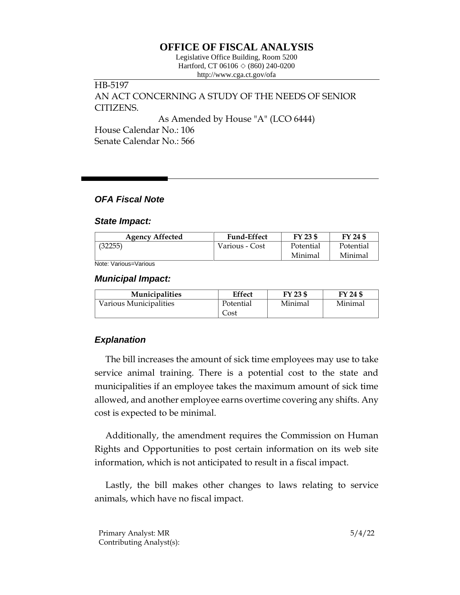# **OFFICE OF FISCAL ANALYSIS**

Legislative Office Building, Room 5200 Hartford, CT 06106  $\Diamond$  (860) 240-0200 http://www.cga.ct.gov/ofa

## HB-5197 AN ACT CONCERNING A STUDY OF THE NEEDS OF SENIOR CITIZENS.

As Amended by House "A" (LCO 6444)

House Calendar No.: 106 Senate Calendar No.: 566

## *OFA Fiscal Note*

#### *State Impact:*

| <b>Agency Affected</b> | <b>Fund-Effect</b> | FY 23 \$  | FY 24 \$  |
|------------------------|--------------------|-----------|-----------|
| (32255)                | Various - Cost     | Potential | Potential |
|                        |                    | Minimal   | Minimal   |

Note: Various=Various

#### *Municipal Impact:*

| <b>Municipalities</b>  | <b>Effect</b> | FY 23 \$ | FY 24 \$ |
|------------------------|---------------|----------|----------|
| Various Municipalities | Potential     | Minimal  | Minimal  |
|                        | Cost          |          |          |

## *Explanation*

The bill increases the amount of sick time employees may use to take service animal training. There is a potential cost to the state and municipalities if an employee takes the maximum amount of sick time allowed, and another employee earns overtime covering any shifts. Any cost is expected to be minimal.

Additionally, the amendment requires the Commission on Human Rights and Opportunities to post certain information on its web site information, which is not anticipated to result in a fiscal impact.

Lastly, the bill makes other changes to laws relating to service animals, which have no fiscal impact.